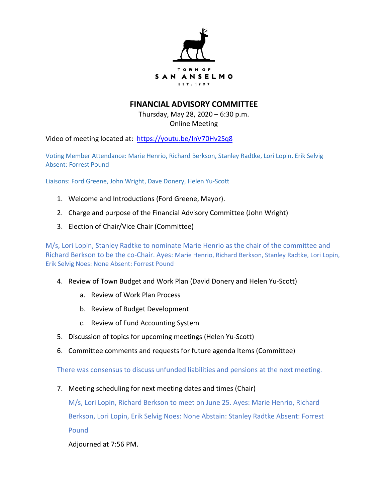

## **FINANCIAL ADVISORY COMMITTEE**

Thursday, May 28, 2020 – 6:30 p.m. Online Meeting

Video of meeting located at: <https://youtu.be/InV70Hv2Sq8>

Voting Member Attendance: Marie Henrio, Richard Berkson, Stanley Radtke, Lori Lopin, Erik Selvig Absent: Forrest Pound

Liaisons: Ford Greene, John Wright, Dave Donery, Helen Yu-Scott

- 1. Welcome and Introductions (Ford Greene, Mayor).
- 2. Charge and purpose of the Financial Advisory Committee (John Wright)
- 3. Election of Chair/Vice Chair (Committee)

M/s, Lori Lopin, Stanley Radtke to nominate Marie Henrio as the chair of the committee and Richard Berkson to be the co-Chair. Ayes: Marie Henrio, Richard Berkson, Stanley Radtke, Lori Lopin, Erik Selvig Noes: None Absent: Forrest Pound

- 4. Review of Town Budget and Work Plan (David Donery and Helen Yu-Scott)
	- a. Review of Work Plan Process
	- b. Review of Budget Development
	- c. Review of Fund Accounting System
- 5. Discussion of topics for upcoming meetings (Helen Yu-Scott)
- 6. Committee comments and requests for future agenda Items (Committee)

There was consensus to discuss unfunded liabilities and pensions at the next meeting.

7. Meeting scheduling for next meeting dates and times (Chair)

M/s, Lori Lopin, Richard Berkson to meet on June 25. Ayes: Marie Henrio, Richard Berkson, Lori Lopin, Erik Selvig Noes: None Abstain: Stanley Radtke Absent: Forrest Pound

Adjourned at 7:56 PM.